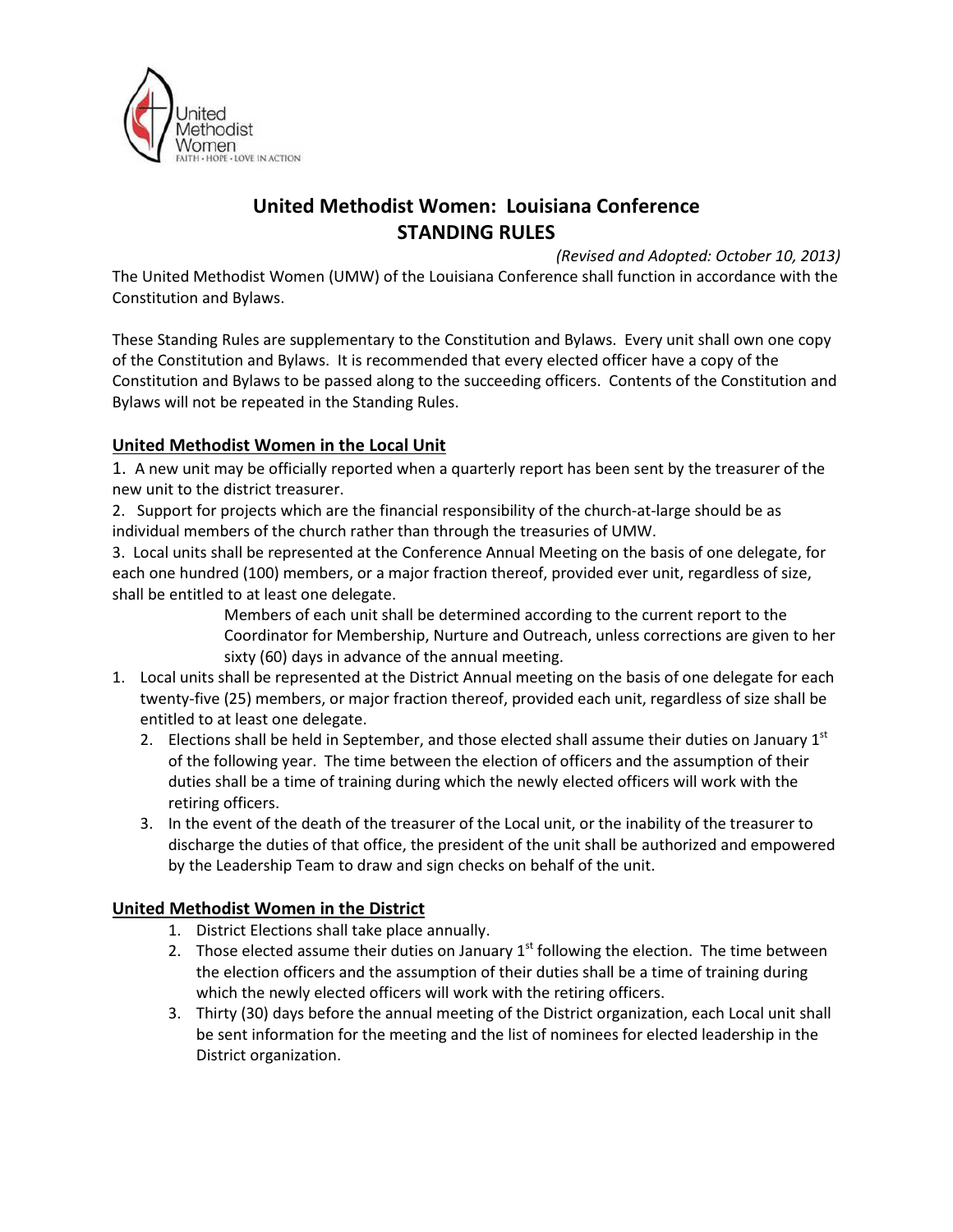

# United Methodist Women: Louisiana Conference STANDING RULES

(Revised and Adopted: October 10, 2013)

The United Methodist Women (UMW) of the Louisiana Conference shall function in accordance with the Constitution and Bylaws.

These Standing Rules are supplementary to the Constitution and Bylaws. Every unit shall own one copy of the Constitution and Bylaws. It is recommended that every elected officer have a copy of the Constitution and Bylaws to be passed along to the succeeding officers. Contents of the Constitution and Bylaws will not be repeated in the Standing Rules.

# United Methodist Women in the Local Unit

1. A new unit may be officially reported when a quarterly report has been sent by the treasurer of the new unit to the district treasurer.

2. Support for projects which are the financial responsibility of the church-at-large should be as individual members of the church rather than through the treasuries of UMW.

3. Local units shall be represented at the Conference Annual Meeting on the basis of one delegate, for each one hundred (100) members, or a major fraction thereof, provided ever unit, regardless of size, shall be entitled to at least one delegate.

> Members of each unit shall be determined according to the current report to the Coordinator for Membership, Nurture and Outreach, unless corrections are given to her sixty (60) days in advance of the annual meeting.

- 1. Local units shall be represented at the District Annual meeting on the basis of one delegate for each twenty-five (25) members, or major fraction thereof, provided each unit, regardless of size shall be entitled to at least one delegate.
	- 2. Elections shall be held in September, and those elected shall assume their duties on January  $1<sup>st</sup>$ of the following year. The time between the election of officers and the assumption of their duties shall be a time of training during which the newly elected officers will work with the retiring officers.
	- 3. In the event of the death of the treasurer of the Local unit, or the inability of the treasurer to discharge the duties of that office, the president of the unit shall be authorized and empowered by the Leadership Team to draw and sign checks on behalf of the unit.

## United Methodist Women in the District

- 1. District Elections shall take place annually.
- 2. Those elected assume their duties on January  $1<sup>st</sup>$  following the election. The time between the election officers and the assumption of their duties shall be a time of training during which the newly elected officers will work with the retiring officers.
- 3. Thirty (30) days before the annual meeting of the District organization, each Local unit shall be sent information for the meeting and the list of nominees for elected leadership in the District organization.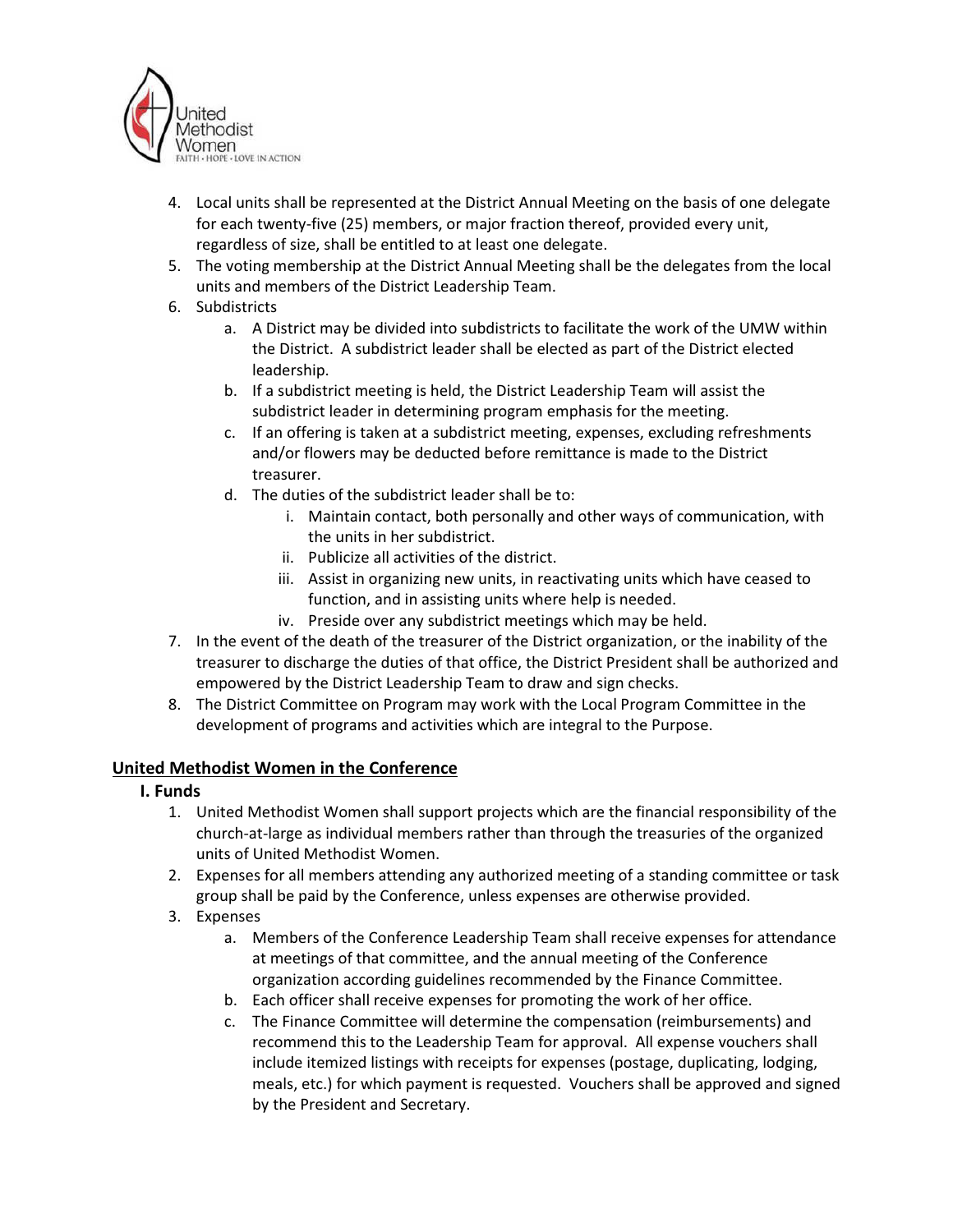

- 4. Local units shall be represented at the District Annual Meeting on the basis of one delegate for each twenty-five (25) members, or major fraction thereof, provided every unit, regardless of size, shall be entitled to at least one delegate.
- 5. The voting membership at the District Annual Meeting shall be the delegates from the local units and members of the District Leadership Team.
- 6. Subdistricts
	- a. A District may be divided into subdistricts to facilitate the work of the UMW within the District. A subdistrict leader shall be elected as part of the District elected leadership.
	- b. If a subdistrict meeting is held, the District Leadership Team will assist the subdistrict leader in determining program emphasis for the meeting.
	- c. If an offering is taken at a subdistrict meeting, expenses, excluding refreshments and/or flowers may be deducted before remittance is made to the District treasurer.
	- d. The duties of the subdistrict leader shall be to:
		- i. Maintain contact, both personally and other ways of communication, with the units in her subdistrict.
		- ii. Publicize all activities of the district.
		- iii. Assist in organizing new units, in reactivating units which have ceased to function, and in assisting units where help is needed.
		- iv. Preside over any subdistrict meetings which may be held.
- 7. In the event of the death of the treasurer of the District organization, or the inability of the treasurer to discharge the duties of that office, the District President shall be authorized and empowered by the District Leadership Team to draw and sign checks.
- 8. The District Committee on Program may work with the Local Program Committee in the development of programs and activities which are integral to the Purpose.

## United Methodist Women in the Conference

- I. Funds
	- 1. United Methodist Women shall support projects which are the financial responsibility of the church-at-large as individual members rather than through the treasuries of the organized units of United Methodist Women.
	- 2. Expenses for all members attending any authorized meeting of a standing committee or task group shall be paid by the Conference, unless expenses are otherwise provided.
	- 3. Expenses
		- a. Members of the Conference Leadership Team shall receive expenses for attendance at meetings of that committee, and the annual meeting of the Conference organization according guidelines recommended by the Finance Committee.
		- b. Each officer shall receive expenses for promoting the work of her office.
		- c. The Finance Committee will determine the compensation (reimbursements) and recommend this to the Leadership Team for approval. All expense vouchers shall include itemized listings with receipts for expenses (postage, duplicating, lodging, meals, etc.) for which payment is requested. Vouchers shall be approved and signed by the President and Secretary.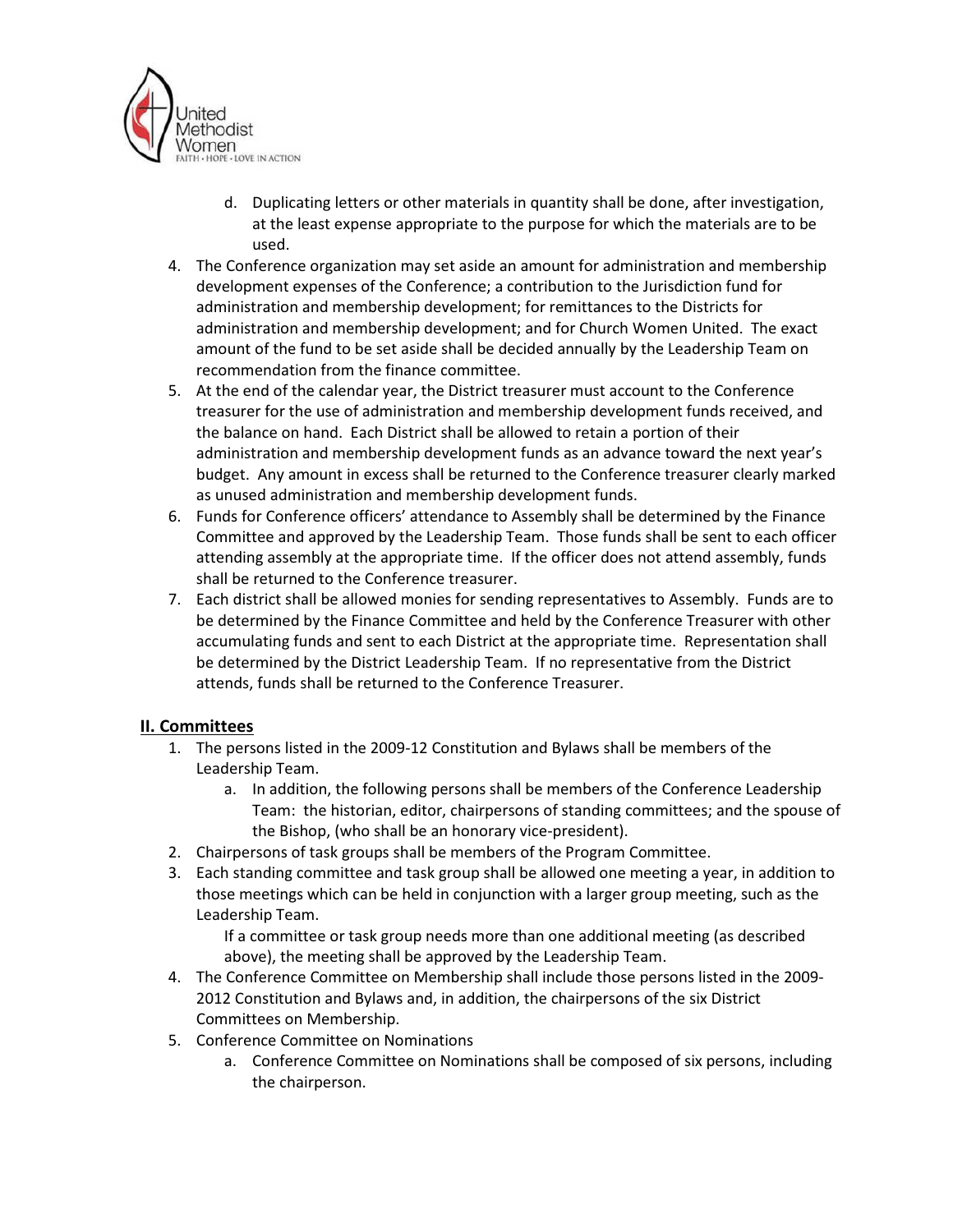

- d. Duplicating letters or other materials in quantity shall be done, after investigation, at the least expense appropriate to the purpose for which the materials are to be used.
- 4. The Conference organization may set aside an amount for administration and membership development expenses of the Conference; a contribution to the Jurisdiction fund for administration and membership development; for remittances to the Districts for administration and membership development; and for Church Women United. The exact amount of the fund to be set aside shall be decided annually by the Leadership Team on recommendation from the finance committee.
- 5. At the end of the calendar year, the District treasurer must account to the Conference treasurer for the use of administration and membership development funds received, and the balance on hand. Each District shall be allowed to retain a portion of their administration and membership development funds as an advance toward the next year's budget. Any amount in excess shall be returned to the Conference treasurer clearly marked as unused administration and membership development funds.
- 6. Funds for Conference officers' attendance to Assembly shall be determined by the Finance Committee and approved by the Leadership Team. Those funds shall be sent to each officer attending assembly at the appropriate time. If the officer does not attend assembly, funds shall be returned to the Conference treasurer.
- 7. Each district shall be allowed monies for sending representatives to Assembly. Funds are to be determined by the Finance Committee and held by the Conference Treasurer with other accumulating funds and sent to each District at the appropriate time. Representation shall be determined by the District Leadership Team. If no representative from the District attends, funds shall be returned to the Conference Treasurer.

## II. Committees

- 1. The persons listed in the 2009-12 Constitution and Bylaws shall be members of the Leadership Team.
	- a. In addition, the following persons shall be members of the Conference Leadership Team: the historian, editor, chairpersons of standing committees; and the spouse of the Bishop, (who shall be an honorary vice-president).
- 2. Chairpersons of task groups shall be members of the Program Committee.
- 3. Each standing committee and task group shall be allowed one meeting a year, in addition to those meetings which can be held in conjunction with a larger group meeting, such as the Leadership Team.

If a committee or task group needs more than one additional meeting (as described above), the meeting shall be approved by the Leadership Team.

- 4. The Conference Committee on Membership shall include those persons listed in the 2009- 2012 Constitution and Bylaws and, in addition, the chairpersons of the six District Committees on Membership.
- 5. Conference Committee on Nominations
	- a. Conference Committee on Nominations shall be composed of six persons, including the chairperson.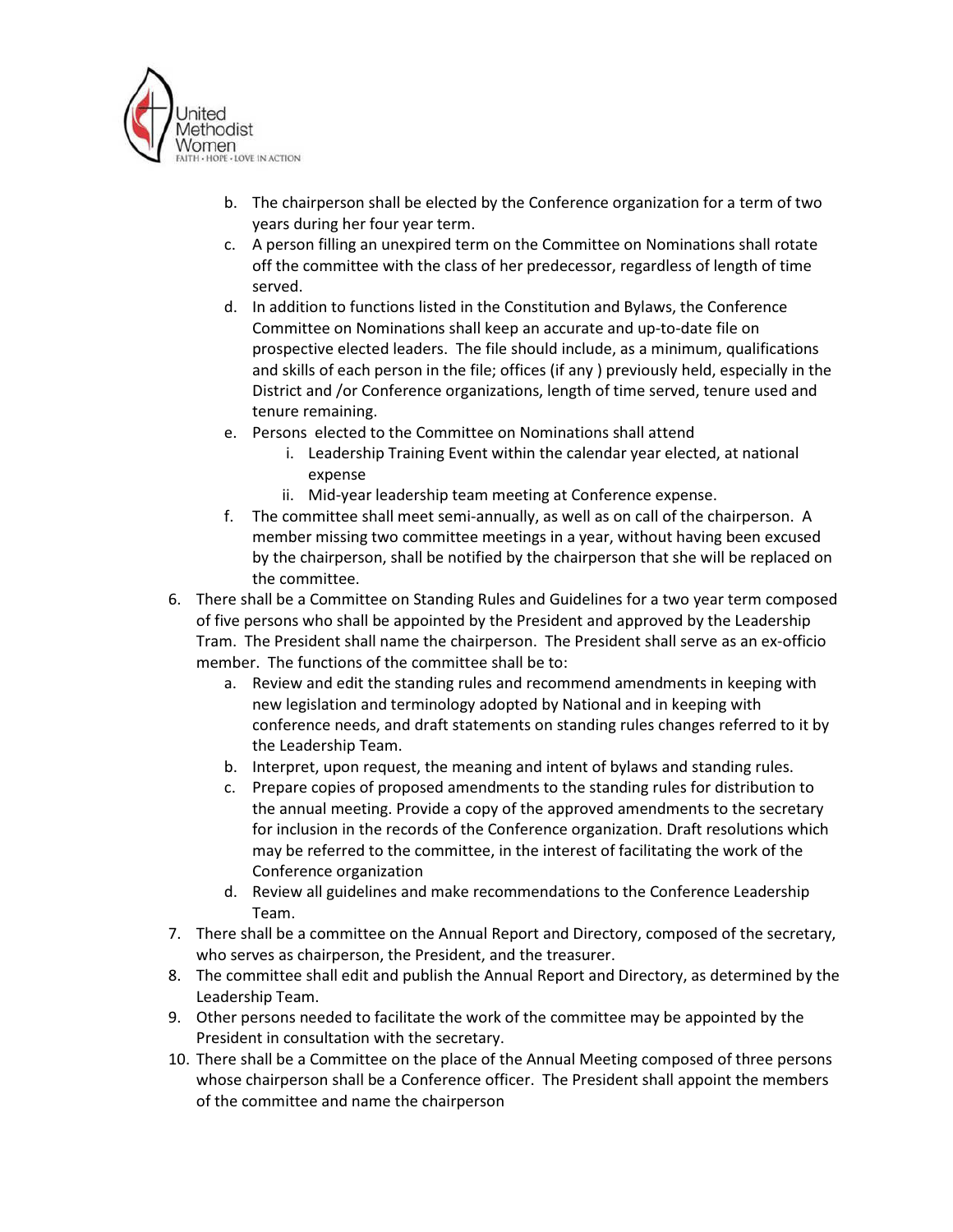

- b. The chairperson shall be elected by the Conference organization for a term of two years during her four year term.
- c. A person filling an unexpired term on the Committee on Nominations shall rotate off the committee with the class of her predecessor, regardless of length of time served.
- d. In addition to functions listed in the Constitution and Bylaws, the Conference Committee on Nominations shall keep an accurate and up-to-date file on prospective elected leaders. The file should include, as a minimum, qualifications and skills of each person in the file; offices (if any ) previously held, especially in the District and /or Conference organizations, length of time served, tenure used and tenure remaining.
- e. Persons elected to the Committee on Nominations shall attend
	- i. Leadership Training Event within the calendar year elected, at national expense
	- ii. Mid-year leadership team meeting at Conference expense.
- f. The committee shall meet semi-annually, as well as on call of the chairperson. A member missing two committee meetings in a year, without having been excused by the chairperson, shall be notified by the chairperson that she will be replaced on the committee.
- 6. There shall be a Committee on Standing Rules and Guidelines for a two year term composed of five persons who shall be appointed by the President and approved by the Leadership Tram. The President shall name the chairperson. The President shall serve as an ex-officio member. The functions of the committee shall be to:
	- a. Review and edit the standing rules and recommend amendments in keeping with new legislation and terminology adopted by National and in keeping with conference needs, and draft statements on standing rules changes referred to it by the Leadership Team.
	- b. Interpret, upon request, the meaning and intent of bylaws and standing rules.
	- c. Prepare copies of proposed amendments to the standing rules for distribution to the annual meeting. Provide a copy of the approved amendments to the secretary for inclusion in the records of the Conference organization. Draft resolutions which may be referred to the committee, in the interest of facilitating the work of the Conference organization
	- d. Review all guidelines and make recommendations to the Conference Leadership Team.
- 7. There shall be a committee on the Annual Report and Directory, composed of the secretary, who serves as chairperson, the President, and the treasurer.
- 8. The committee shall edit and publish the Annual Report and Directory, as determined by the Leadership Team.
- 9. Other persons needed to facilitate the work of the committee may be appointed by the President in consultation with the secretary.
- 10. There shall be a Committee on the place of the Annual Meeting composed of three persons whose chairperson shall be a Conference officer. The President shall appoint the members of the committee and name the chairperson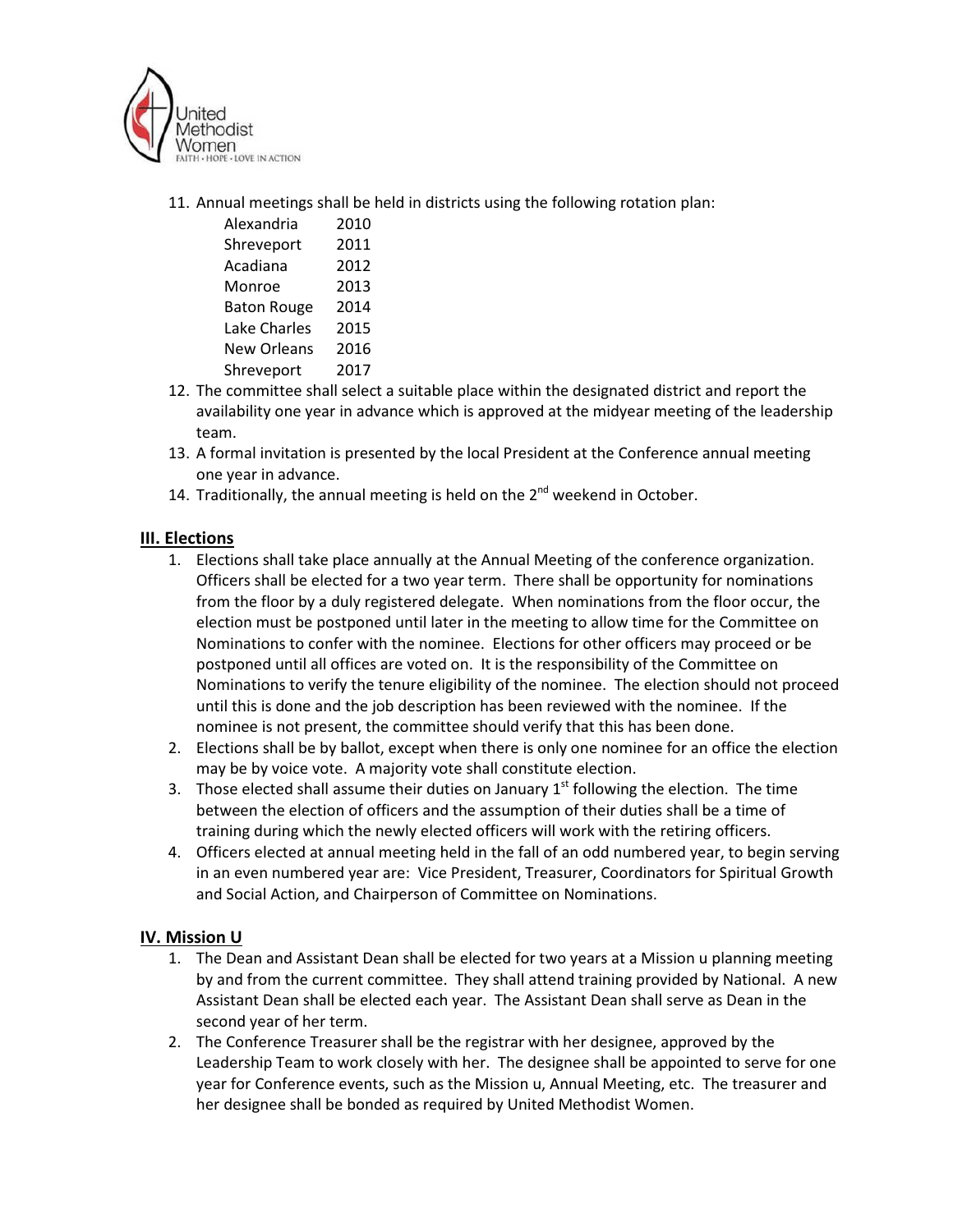

11. Annual meetings shall be held in districts using the following rotation plan:

| Alexandria         | 2010 |
|--------------------|------|
| Shreveport         | 2011 |
| Acadiana           | 2012 |
| Monroe             | 2013 |
| <b>Baton Rouge</b> | 2014 |
| Lake Charles       | 2015 |
| <b>New Orleans</b> | 2016 |
| Shreveport         | 2017 |

- 12. The committee shall select a suitable place within the designated district and report the availability one year in advance which is approved at the midyear meeting of the leadership team.
- 13. A formal invitation is presented by the local President at the Conference annual meeting one year in advance.
- 14. Traditionally, the annual meeting is held on the  $2^{nd}$  weekend in October.

# III. Elections

- 1. Elections shall take place annually at the Annual Meeting of the conference organization. Officers shall be elected for a two year term. There shall be opportunity for nominations from the floor by a duly registered delegate. When nominations from the floor occur, the election must be postponed until later in the meeting to allow time for the Committee on Nominations to confer with the nominee. Elections for other officers may proceed or be postponed until all offices are voted on. It is the responsibility of the Committee on Nominations to verify the tenure eligibility of the nominee. The election should not proceed until this is done and the job description has been reviewed with the nominee. If the nominee is not present, the committee should verify that this has been done.
- 2. Elections shall be by ballot, except when there is only one nominee for an office the election may be by voice vote. A majority vote shall constitute election.
- 3. Those elected shall assume their duties on January  $1<sup>st</sup>$  following the election. The time between the election of officers and the assumption of their duties shall be a time of training during which the newly elected officers will work with the retiring officers.
- 4. Officers elected at annual meeting held in the fall of an odd numbered year, to begin serving in an even numbered year are: Vice President, Treasurer, Coordinators for Spiritual Growth and Social Action, and Chairperson of Committee on Nominations.

## IV. Mission U

- 1. The Dean and Assistant Dean shall be elected for two years at a Mission u planning meeting by and from the current committee. They shall attend training provided by National. A new Assistant Dean shall be elected each year. The Assistant Dean shall serve as Dean in the second year of her term.
- 2. The Conference Treasurer shall be the registrar with her designee, approved by the Leadership Team to work closely with her. The designee shall be appointed to serve for one year for Conference events, such as the Mission u, Annual Meeting, etc. The treasurer and her designee shall be bonded as required by United Methodist Women.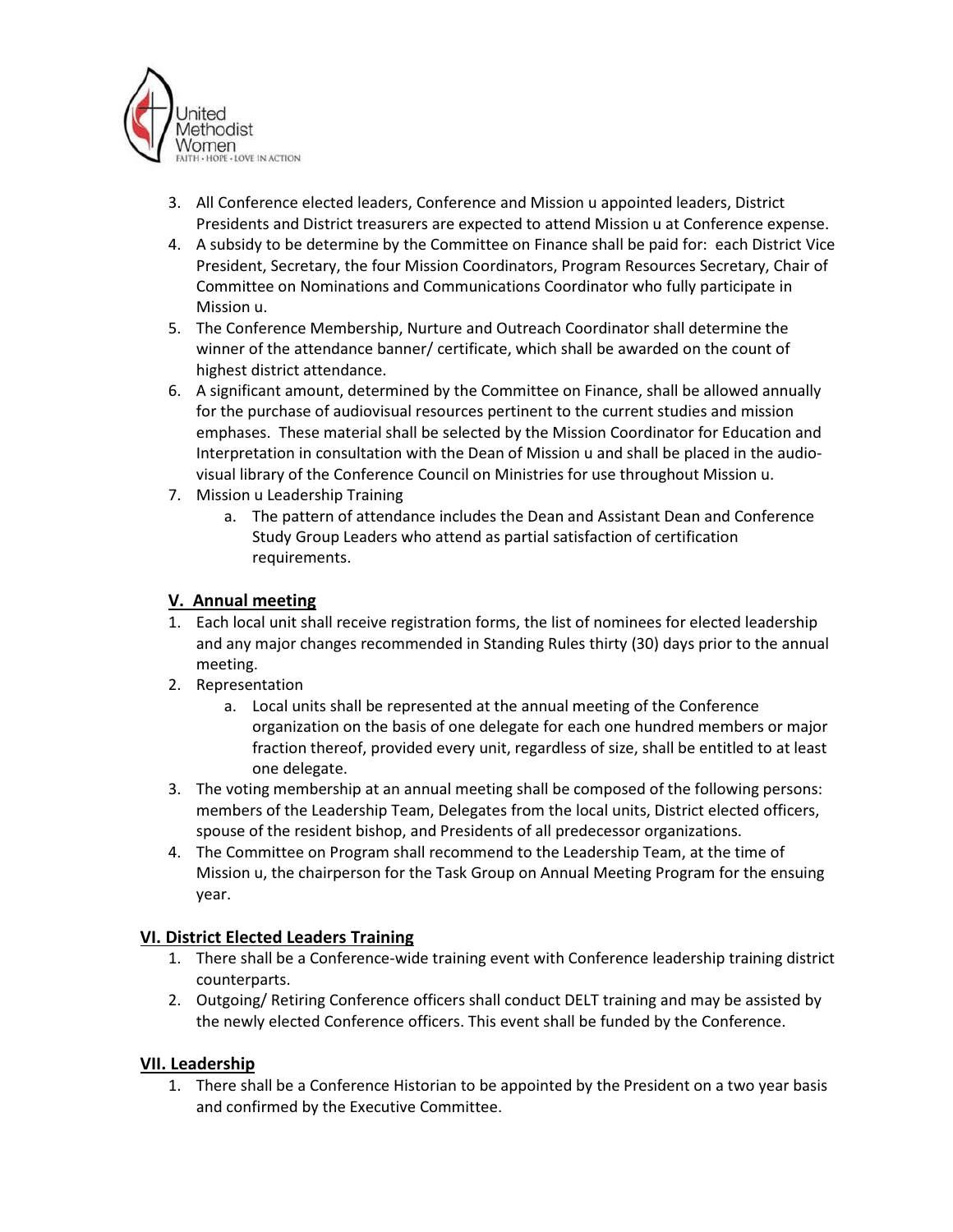

- 3. All Conference elected leaders, Conference and Mission u appointed leaders, District Presidents and District treasurers are expected to attend Mission u at Conference expense.
- 4. A subsidy to be determine by the Committee on Finance shall be paid for: each District Vice President, Secretary, the four Mission Coordinators, Program Resources Secretary, Chair of Committee on Nominations and Communications Coordinator who fully participate in Mission u.
- 5. The Conference Membership, Nurture and Outreach Coordinator shall determine the winner of the attendance banner/ certificate, which shall be awarded on the count of highest district attendance.
- 6. A significant amount, determined by the Committee on Finance, shall be allowed annually for the purchase of audiovisual resources pertinent to the current studies and mission emphases. These material shall be selected by the Mission Coordinator for Education and Interpretation in consultation with the Dean of Mission u and shall be placed in the audiovisual library of the Conference Council on Ministries for use throughout Mission u.
- 7. Mission u Leadership Training
	- a. The pattern of attendance includes the Dean and Assistant Dean and Conference Study Group Leaders who attend as partial satisfaction of certification requirements.

# V. Annual meeting

- 1. Each local unit shall receive registration forms, the list of nominees for elected leadership and any major changes recommended in Standing Rules thirty (30) days prior to the annual meeting.
- 2. Representation
	- a. Local units shall be represented at the annual meeting of the Conference organization on the basis of one delegate for each one hundred members or major fraction thereof, provided every unit, regardless of size, shall be entitled to at least one delegate.
- 3. The voting membership at an annual meeting shall be composed of the following persons: members of the Leadership Team, Delegates from the local units, District elected officers, spouse of the resident bishop, and Presidents of all predecessor organizations.
- 4. The Committee on Program shall recommend to the Leadership Team, at the time of Mission u, the chairperson for the Task Group on Annual Meeting Program for the ensuing year.

# VI. District Elected Leaders Training

- 1. There shall be a Conference-wide training event with Conference leadership training district counterparts.
- 2. Outgoing/ Retiring Conference officers shall conduct DELT training and may be assisted by the newly elected Conference officers. This event shall be funded by the Conference.

## VII. Leadership

1. There shall be a Conference Historian to be appointed by the President on a two year basis and confirmed by the Executive Committee.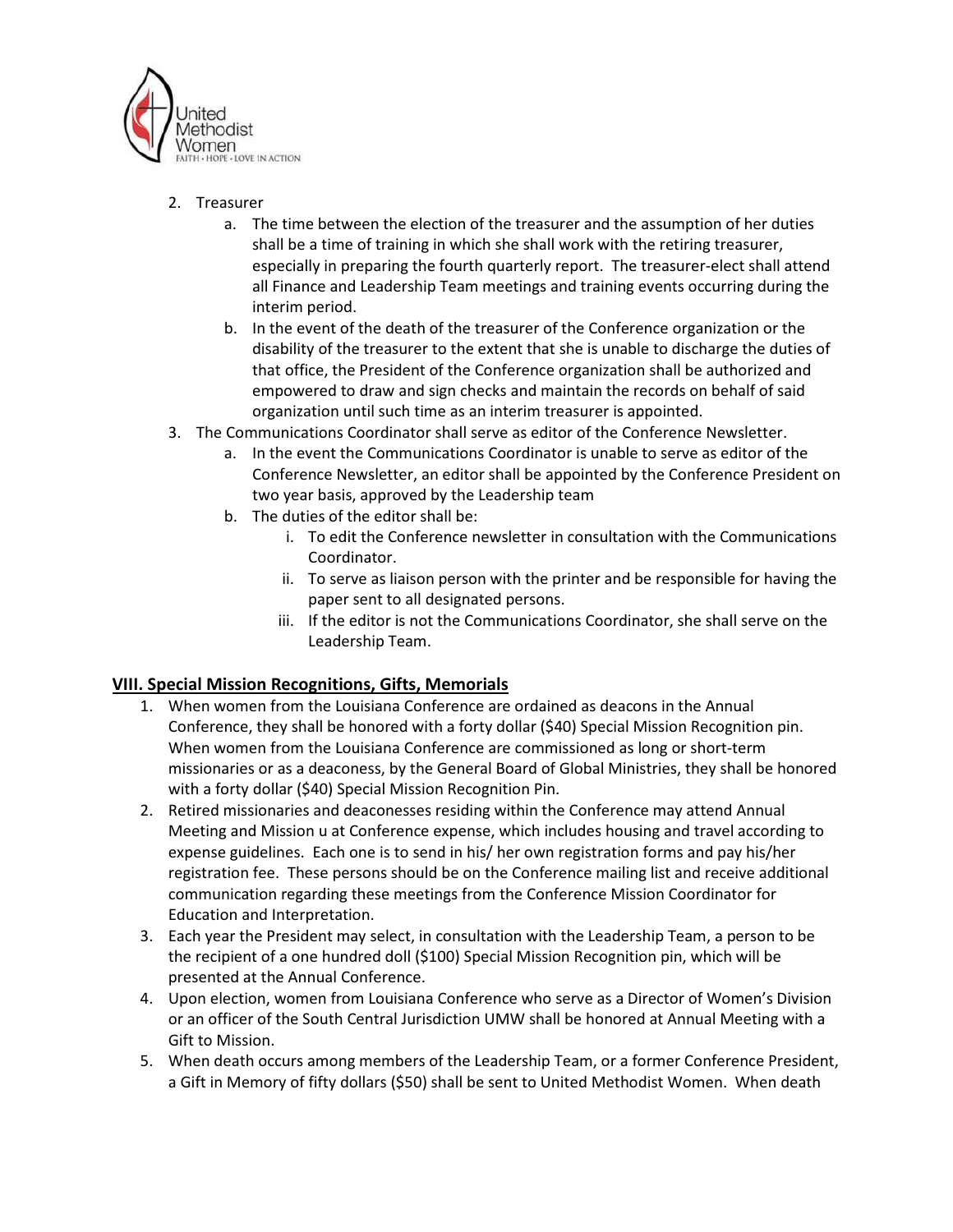

# 2. Treasurer

- a. The time between the election of the treasurer and the assumption of her duties shall be a time of training in which she shall work with the retiring treasurer, especially in preparing the fourth quarterly report. The treasurer-elect shall attend all Finance and Leadership Team meetings and training events occurring during the interim period.
- b. In the event of the death of the treasurer of the Conference organization or the disability of the treasurer to the extent that she is unable to discharge the duties of that office, the President of the Conference organization shall be authorized and empowered to draw and sign checks and maintain the records on behalf of said organization until such time as an interim treasurer is appointed.
- 3. The Communications Coordinator shall serve as editor of the Conference Newsletter.
	- a. In the event the Communications Coordinator is unable to serve as editor of the Conference Newsletter, an editor shall be appointed by the Conference President on two year basis, approved by the Leadership team
	- b. The duties of the editor shall be:
		- i. To edit the Conference newsletter in consultation with the Communications Coordinator.
		- ii. To serve as liaison person with the printer and be responsible for having the paper sent to all designated persons.
		- iii. If the editor is not the Communications Coordinator, she shall serve on the Leadership Team.

# VIII. Special Mission Recognitions, Gifts, Memorials

- 1. When women from the Louisiana Conference are ordained as deacons in the Annual Conference, they shall be honored with a forty dollar (\$40) Special Mission Recognition pin. When women from the Louisiana Conference are commissioned as long or short-term missionaries or as a deaconess, by the General Board of Global Ministries, they shall be honored with a forty dollar (\$40) Special Mission Recognition Pin.
- 2. Retired missionaries and deaconesses residing within the Conference may attend Annual Meeting and Mission u at Conference expense, which includes housing and travel according to expense guidelines. Each one is to send in his/ her own registration forms and pay his/her registration fee. These persons should be on the Conference mailing list and receive additional communication regarding these meetings from the Conference Mission Coordinator for Education and Interpretation.
- 3. Each year the President may select, in consultation with the Leadership Team, a person to be the recipient of a one hundred doll (\$100) Special Mission Recognition pin, which will be presented at the Annual Conference.
- 4. Upon election, women from Louisiana Conference who serve as a Director of Women's Division or an officer of the South Central Jurisdiction UMW shall be honored at Annual Meeting with a Gift to Mission.
- 5. When death occurs among members of the Leadership Team, or a former Conference President, a Gift in Memory of fifty dollars (\$50) shall be sent to United Methodist Women. When death